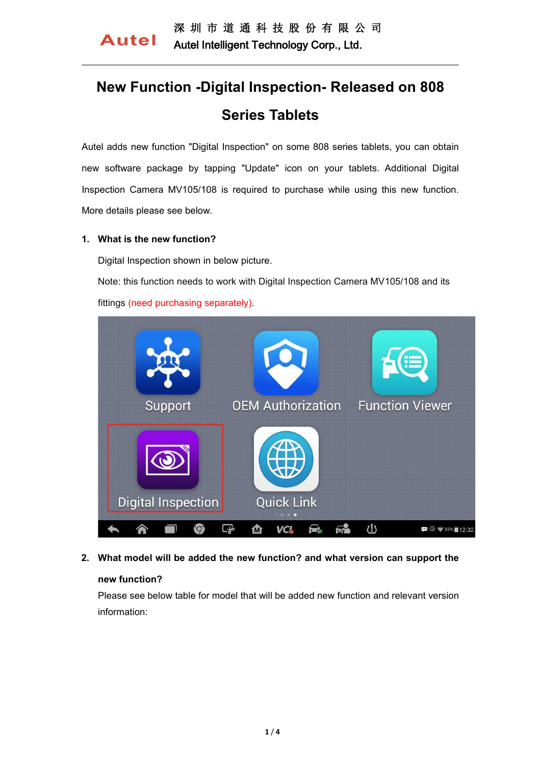# **New Function -Digital Inspection- Released on 808 Series Tablets**

Autel adds new function "Digital Inspection" on some 808 series tablets, you can obtain new software package by tapping "Update" icon on your tablets. Additional Digital Inspection Camera MV105/108 is required to purchase while using this new function. More details please see below.

### **1. What is the new function?**

Digital Inspection shown in below picture.

Note: this function needs to work with Digital Inspection Camera MV105/108 and its fittings (need purchasing separately).



### **2. What model will be added the new function? and what version can support the**

# **new function?**

Please see below table for model that will be added new function and relevant version information: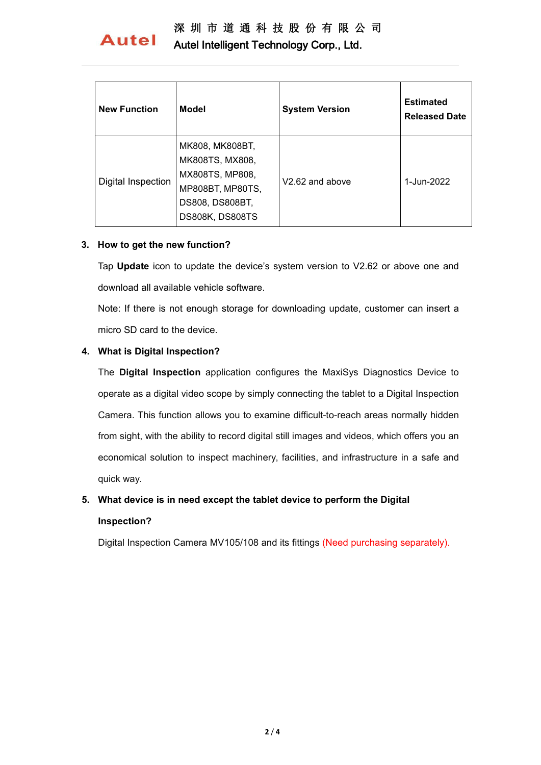# 深 圳 市 道 通 科 技 股 份 有 限 公 司

# **Autel**

Autel Intelligent Technology Corp., Ltd.

| <b>New Function</b>       | <b>Model</b>                                                                                                    | <b>System Version</b> | <b>Estimated</b><br><b>Released Date</b> |
|---------------------------|-----------------------------------------------------------------------------------------------------------------|-----------------------|------------------------------------------|
| <b>Digital Inspection</b> | MK808, MK808BT,<br>MK808TS, MX808,<br>MX808TS, MP808,<br>MP808BT, MP80TS,<br>DS808, DS808BT,<br>DS808K, DS808TS | V2.62 and above       | 1-Jun-2022                               |

## **3. How to get the new function?**

Tap **Update** icon to update the device's system version to V2.62 or above one and download all available vehicle software.

Note: If there is not enough storage for downloading update, customer can insert a micro SD card to the device.

# **4. What is Digital Inspection?**

The **Digital Inspection** application configures the MaxiSys Diagnostics Device to operate as a digital video scope by simply connecting the tablet to a Digital Inspection Camera. This function allows you to examine difficult-to-reach areas normally hidden from sight, with the ability to record digital still images and videos, which offers you an economical solution to inspect machinery, facilities, and infrastructure in a safe and quick way.

# **5. What device is in need except the tablet device to perform the Digital**

### **Inspection?**

Digital Inspection Camera MV105/108 and its fittings (Need purchasing separately).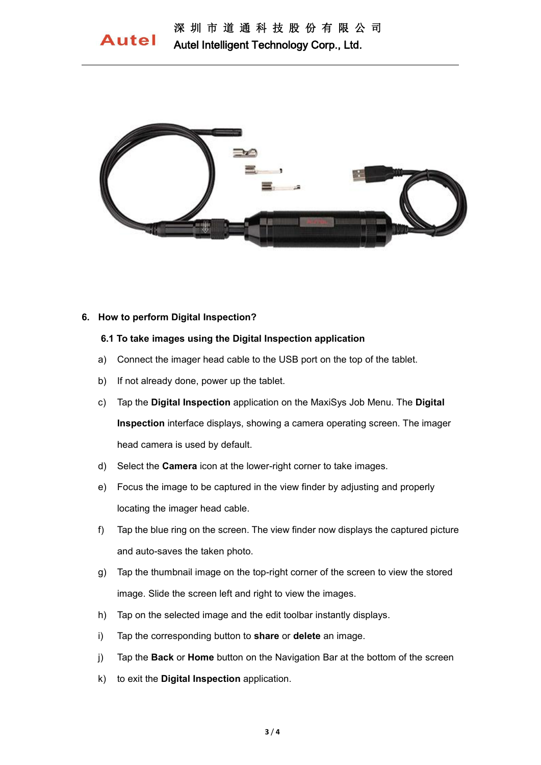

#### **6. How to perform Digital Inspection?**

#### **6.1 To take images using the Digital Inspection application**

- a) Connect the imager head cable to the USB port on the top of the tablet.
- b) If not already done, power up the tablet.
- c) Tap the **Digital Inspection** application on the MaxiSys Job Menu. The **Digital Inspection** interface displays, showing a camera operating screen. The imager head camera is used by default.
- d) Select the **Camera** icon at the lower-right corner to take images.
- e) Focus the image to be captured in the view finder by adjusting and properly locating the imager head cable.
- f) Tap the blue ring on the screen. The view finder now displays the captured picture and auto-saves the taken photo.
- g) Tap the thumbnailimage on the top-right corner ofthe screen to view the stored image. Slide the screen left and right to view the images.
- h) Tap on the selected image and the edit toolbar instantly displays.
- i) Tap the corresponding button to **share** or **delete** an image.
- j) Tap the **Back** or **Home** button on the Navigation Bar at the bottom of the screen
- k) to exit the **Digital Inspection** application.